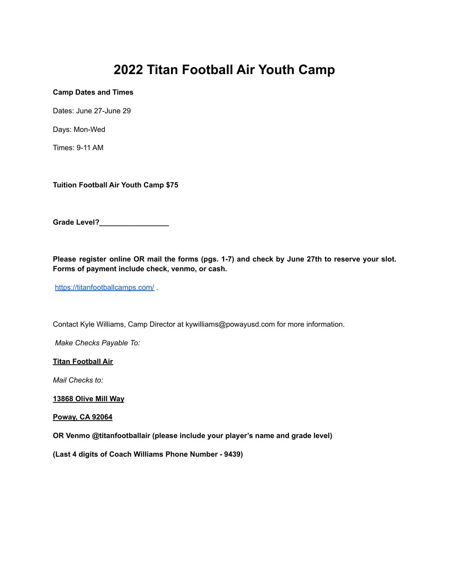## **2022 Titan Football Air Youth Camp**

#### **Camp Dates and Times**

Dates: June 27-June 29

Days: Mon-Wed

Times: 9-11 AM

**Tuition Football Air Youth Camp \$75**

**Grade Level?\_\_\_\_\_\_\_\_\_\_\_\_\_\_\_\_\_**

**Please register online OR mail the forms (pgs. 1-7) and check by June 27th to reserve your slot. Forms of payment include check, venmo, or cash.**

<https://titanfootballcamps.com/>

Contact Kyle Williams, Camp Director at kywilliams@powayusd.com for more information.

*Make Checks Payable To:*

#### **Titan Football Air**

*Mail Checks to:*

#### **13868 Olive Mill Way**

**Poway, CA 92064**

**OR Venmo @titanfootballair (please include your player's name and grade level)**

**(Last 4 digits of Coach Williams Phone Number - 9439)**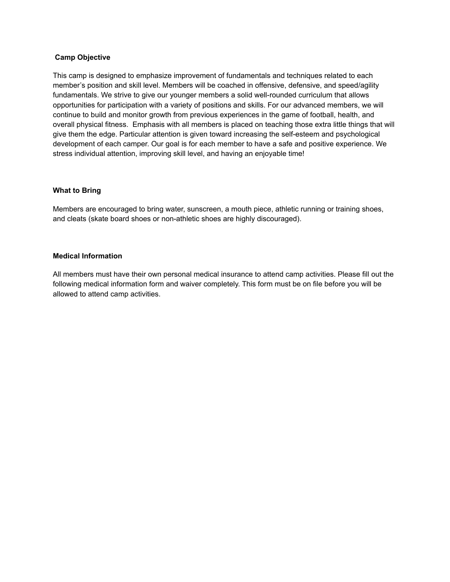#### **Camp Objective**

This camp is designed to emphasize improvement of fundamentals and techniques related to each member's position and skill level. Members will be coached in offensive, defensive, and speed/agility fundamentals. We strive to give our younger members a solid well-rounded curriculum that allows opportunities for participation with a variety of positions and skills. For our advanced members, we will continue to build and monitor growth from previous experiences in the game of football, health, and overall physical fitness. Emphasis with all members is placed on teaching those extra little things that will give them the edge. Particular attention is given toward increasing the self-esteem and psychological development of each camper. Our goal is for each member to have a safe and positive experience. We stress individual attention, improving skill level, and having an enjoyable time!

#### **What to Bring**

Members are encouraged to bring water, sunscreen, a mouth piece, athletic running or training shoes, and cleats (skate board shoes or non-athletic shoes are highly discouraged).

#### **Medical Information**

All members must have their own personal medical insurance to attend camp activities. Please fill out the following medical information form and waiver completely. This form must be on file before you will be allowed to attend camp activities.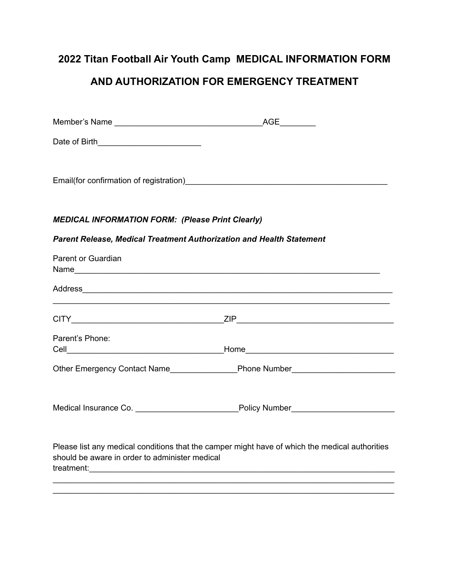# **2022 Titan Football Air Youth Camp MEDICAL INFORMATION FORM**

### **AND AUTHORIZATION FOR EMERGENCY TREATMENT**

| <b>MEDICAL INFORMATION FORM: (Please Print Clearly)</b>              |                                                                                                                                                                                            |
|----------------------------------------------------------------------|--------------------------------------------------------------------------------------------------------------------------------------------------------------------------------------------|
| Parent Release, Medical Treatment Authorization and Health Statement |                                                                                                                                                                                            |
| Parent or Guardian                                                   |                                                                                                                                                                                            |
|                                                                      | Address <b>Address Address Address Address Address Address Address Address Address Address Address Address Address Address Address Address Address Address Address Address Address Add</b> |
|                                                                      |                                                                                                                                                                                            |
| Parent's Phone:                                                      |                                                                                                                                                                                            |
|                                                                      |                                                                                                                                                                                            |
|                                                                      |                                                                                                                                                                                            |
| should be aware in order to administer medical                       | Please list any medical conditions that the camper might have of which the medical authorities                                                                                             |
|                                                                      |                                                                                                                                                                                            |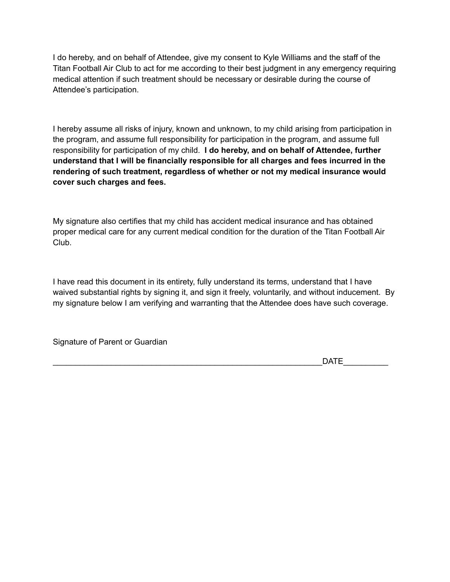I do hereby, and on behalf of Attendee, give my consent to Kyle Williams and the staff of the Titan Football Air Club to act for me according to their best judgment in any emergency requiring medical attention if such treatment should be necessary or desirable during the course of Attendee's participation.

I hereby assume all risks of injury, known and unknown, to my child arising from participation in the program, and assume full responsibility for participation in the program, and assume full responsibility for participation of my child. **I do hereby, and on behalf of Attendee, further understand that I will be financially responsible for all charges and fees incurred in the rendering of such treatment, regardless of whether or not my medical insurance would cover such charges and fees.**

My signature also certifies that my child has accident medical insurance and has obtained proper medical care for any current medical condition for the duration of the Titan Football Air Club.

I have read this document in its entirety, fully understand its terms, understand that I have waived substantial rights by signing it, and sign it freely, voluntarily, and without inducement. By my signature below I am verifying and warranting that the Attendee does have such coverage.

Signature of Parent or Guardian

 $DATE$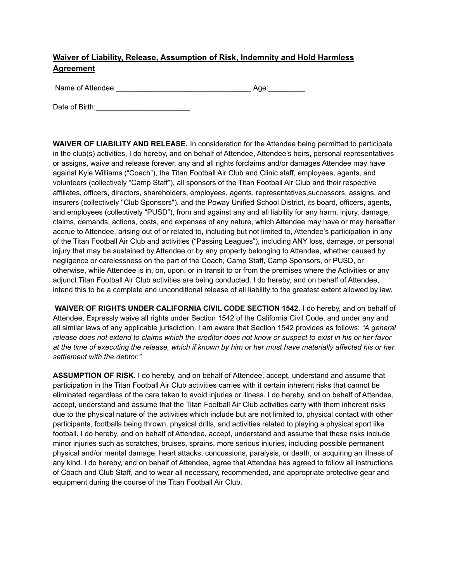#### **Waiver of Liability, Release, Assumption of Risk, Indemnity and Hold Harmless Agreement**

Name of Attendee:\_\_\_\_\_\_\_\_\_\_\_\_\_\_\_\_\_\_\_\_\_\_\_\_\_\_\_\_\_\_\_\_\_ Age:\_\_\_\_\_\_\_\_\_

Date of Birth:\_\_\_\_\_\_\_\_\_\_\_\_\_\_\_\_\_\_\_\_\_\_\_

**WAIVER OF LIABILITY AND RELEASE.** In consideration for the Attendee being permitted to participate in the club(s) activities, I do hereby, and on behalf of Attendee, Attendee's heirs, personal representatives or assigns, waive and release forever, any and all rights forclaims and/or damages Attendee may have against Kyle Williams ("Coach"), the Titan Football Air Club and Clinic staff, employees, agents, and volunteers (collectively "Camp Staff"), all sponsors of the Titan Football Air Club and their respective affiliates, officers, directors, shareholders, employees, agents, representatives,successors, assigns, and insurers (collectively "Club Sponsors"), and the Poway Unified School District, its board, officers, agents, and employees (collectively "PUSD"), from and against any and all liability for any harm, injury, damage, claims, demands, actions, costs, and expenses of any nature, which Attendee may have or may hereafter accrue to Attendee, arising out of or related to, including but not limited to, Attendee's participation in any of the Titan Football Air Club and activities ("Passing Leagues"), including ANY loss, damage, or personal injury that may be sustained by Attendee or by any property belonging to Attendee, whether caused by negligence or carelessness on the part of the Coach, Camp Staff, Camp Sponsors, or PUSD, or otherwise, while Attendee is in, on, upon, or in transit to or from the premises where the Activities or any adjunct Titan Football Air Club activities are being conducted. I do hereby, and on behalf of Attendee, intend this to be a complete and unconditional release of all liability to the greatest extent allowed by law.

**WAIVER OF RIGHTS UNDER CALIFORNIA CIVIL CODE SECTION 1542.** I do hereby, and on behalf of Attendee, Expressly waive all rights under Section 1542 of the California Civil Code, and under any and all similar laws of any applicable jurisdiction. I am aware that Section 1542 provides as follows: *"A general* release does not extend to claims which the creditor does not know or suspect to exist in his or her favor at the time of executing the release, which if known by him or her must have materially affected his or her *settlement with the debtor."*

**ASSUMPTION OF RISK.** I do hereby, and on behalf of Attendee, accept, understand and assume that participation in the Titan Football Air Club activities carries with it certain inherent risks that cannot be eliminated regardless of the care taken to avoid injuries or illness. I do hereby, and on behalf of Attendee, accept, understand and assume that the Titan Football Air Club activities carry with them inherent risks due to the physical nature of the activities which include but are not limited to, physical contact with other participants, footballs being thrown, physical drills, and activities related to playing a physical sport like football. I do hereby, and on behalf of Attendee, accept, understand and assume that these risks include minor injuries such as scratches, bruises, sprains, more serious injuries, including possible permanent physical and/or mental damage, heart attacks, concussions, paralysis, or death, or acquiring an illness of any kind. I do hereby, and on behalf of Attendee, agree that Attendee has agreed to follow all instructions of Coach and Club Staff, and to wear all necessary, recommended, and appropriate protective gear and equipment during the course of the Titan Football Air Club.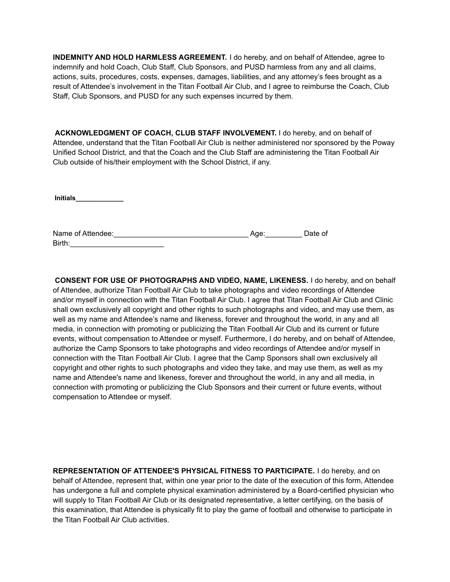**INDEMNITY AND HOLD HARMLESS AGREEMENT.** I do hereby, and on behalf of Attendee, agree to indemnify and hold Coach, Club Staff, Club Sponsors, and PUSD harmless from any and all claims, actions, suits, procedures, costs, expenses, damages, liabilities, and any attorney's fees brought as a result of Attendee's involvement in the Titan Football Air Club, and I agree to reimburse the Coach, Club Staff, Club Sponsors, and PUSD for any such expenses incurred by them.

**ACKNOWLEDGMENT OF COACH, CLUB STAFF INVOLVEMENT.** I do hereby, and on behalf of Attendee, understand that the Titan Football Air Club is neither administered nor sponsored by the Poway Unified School District, and that the Coach and the Club Staff are administering the Titan Football Air Club outside of his/their employment with the School District, if any.

**Initials\_\_\_\_\_\_\_\_\_\_\_\_\_**

| Name of Attendee: | Aae: | Date of |
|-------------------|------|---------|
| Birth:            |      |         |

**CONSENT FOR USE OF PHOTOGRAPHS AND VIDEO, NAME, LIKENESS.** I do hereby, and on behalf of Attendee, authorize Titan Football Air Club to take photographs and video recordings of Attendee and/or myself in connection with the Titan Football Air Club. I agree that Titan Football Air Club and Clinic shall own exclusively all copyright and other rights to such photographs and video, and may use them, as well as my name and Attendee's name and likeness, forever and throughout the world, in any and all media, in connection with promoting or publicizing the Titan Football Air Club and its current or future events, without compensation to Attendee or myself. Furthermore, I do hereby, and on behalf of Attendee, authorize the Camp Sponsors to take photographs and video recordings of Attendee and/or myself in connection with the Titan Football Air Club. I agree that the Camp Sponsors shall own exclusively all copyright and other rights to such photographs and video they take, and may use them, as well as my name and Attendee's name and likeness, forever and throughout the world, in any and all media, in connection with promoting or publicizing the Club Sponsors and their current or future events, without compensation to Attendee or myself.

**REPRESENTATION OF ATTENDEE'S PHYSICAL FITNESS TO PARTICIPATE.** I do hereby, and on behalf of Attendee, represent that, within one year prior to the date of the execution of this form, Attendee has undergone a full and complete physical examination administered by a Board-certified physician who will supply to Titan Football Air Club or its designated representative, a letter certifying, on the basis of this examination, that Attendee is physically fit to play the game of football and otherwise to participate in the Titan Football Air Club activities.